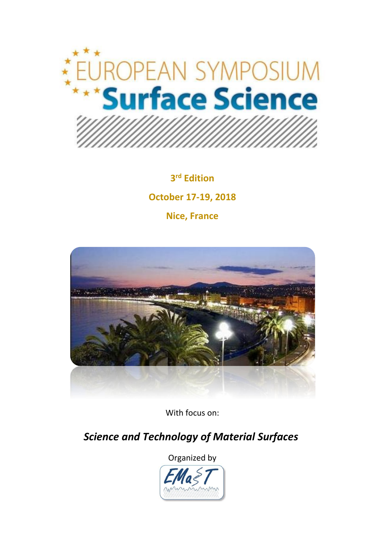

**3 rd Edition October 17-19, 2018 Nice, France**



With focus on:

 *Science and Technology of Material Surfaces* 

Organized by

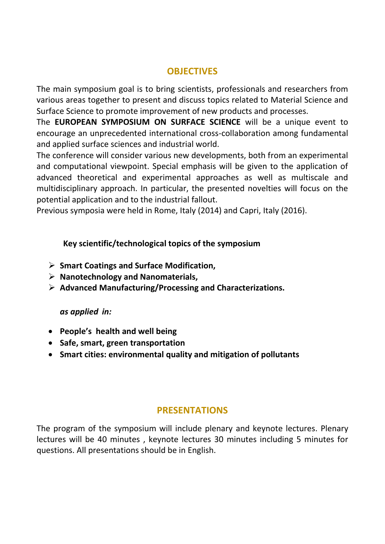# **OBJECTIVES**

The main symposium goal is to bring scientists, professionals and researchers from various areas together to present and discuss topics related to Material Science and Surface Science to promote improvement of new products and processes.

The **EUROPEAN SYMPOSIUM ON SURFACE SCIENCE** will be a unique event to encourage an unprecedented international cross-collaboration among fundamental and applied surface sciences and industrial world.

The conference will consider various new developments, both from an experimental and computational viewpoint. Special emphasis will be given to the application of advanced theoretical and experimental approaches as well as multiscale and multidisciplinary approach. In particular, the presented novelties will focus on the potential application and to the industrial fallout.

Previous symposia were held in Rome, Italy (2014) and Capri, Italy (2016).

#### **Key scientific/technological topics of the symposium**

- **Smart Coatings and Surface Modification,**
- **Nanotechnology and Nanomaterials,**
- **Advanced Manufacturing/Processing and Characterizations.**

#### *as applied in:*

- **People's health and well being**
- **Safe, smart, green transportation**
- **Smart cities: environmental quality and mitigation of pollutants**

#### **PRESENTATIONS**

The program of the symposium will include plenary and keynote lectures. Plenary lectures will be 40 minutes , keynote lectures 30 minutes including 5 minutes for questions. All presentations should be in English.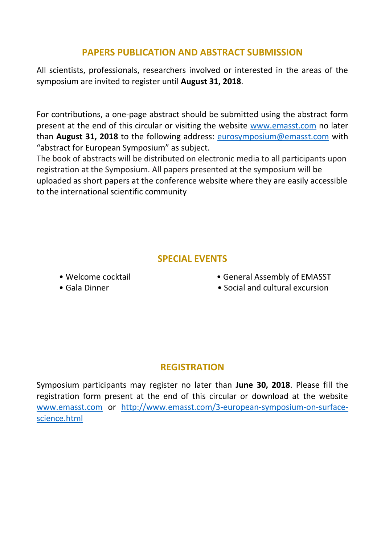# **PAPERS PUBLICATION AND ABSTRACT SUBMISSION**

All scientists, professionals, researchers involved or interested in the areas of the symposium are invited to register until **August 31, 2018**.

For contributions, a one-page abstract should be submitted using the abstract form present at the end of this circular or visiting the website [www.emasst.com](http://www.emasst.com/) no later than **August 31, 2018** to the following address: [eurosymposium@emasst.com](mailto:eurosymposium@emasst.com) with "abstract for European Symposium" as subject.

The book of abstracts will be distributed on electronic media to all participants upon registration at the Symposium. All papers presented at the symposium will be uploaded as short papers at the conference website where they are easily accessible to the international scientific community

## **SPECIAL EVENTS**

- 
- 
- Welcome cocktail General Assembly of EMASST
- Gala Dinner Social and cultural excursion

## **REGISTRATION**

Symposium participants may register no later than **June 30, 2018**. Please fill the registration form present at the end of this circular or download at the website [www.emasst.com](http://www.emasst.com/) or [http://www.emasst.com/3-european-symposium-on-surface](http://www.emasst.com/3-european-symposium-on-surface-science.html)[science.html](http://www.emasst.com/3-european-symposium-on-surface-science.html)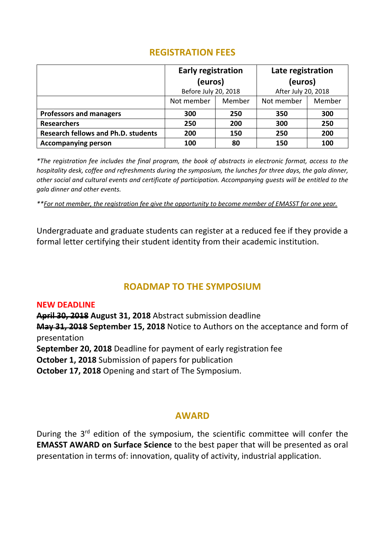### **REGISTRATION FEES**

|                                            | <b>Early registration</b><br>(euros) |        | Late registration<br>(euros) |        |
|--------------------------------------------|--------------------------------------|--------|------------------------------|--------|
|                                            | Before July 20, 2018                 |        | After July 20, 2018          |        |
|                                            | Not member                           | Member | Not member                   | Member |
| <b>Professors and managers</b>             | 300                                  | 250    | 350                          | 300    |
| <b>Researchers</b>                         | 250                                  | 200    | 300                          | 250    |
| <b>Research fellows and Ph.D. students</b> | 200                                  | 150    | 250                          | 200    |
| <b>Accompanying person</b>                 | 100                                  | 80     | 150                          | 100    |

*\*The registration fee includes the final program, the book of abstracts in electronic format, access to the hospitality desk, coffee and refreshments during the symposium, the lunches for three days, the gala dinner, other social and cultural events and certificate of participation. Accompanying guests will be entitled to the gala dinner and other events.*

*\*\*For not member, the registration fee give the opportunity to become member of EMASST for one year.*

Undergraduate and graduate students can register at a reduced fee if they provide a formal letter certifying their student identity from their academic institution.

## **ROADMAP TO THE SYMPOSIUM**

#### **NEW DEADLINE**

**April 30, 2018 August 31, 2018** Abstract submission deadline

**May 31, 2018 September 15, 2018** Notice to Authors on the acceptance and form of presentation

**September 20, 2018** Deadline for payment of early registration fee

**October 1, 2018** Submission of papers for publication

**October 17, 2018** Opening and start of The Symposium.

#### **AWARD**

During the  $3<sup>rd</sup>$  edition of the symposium, the scientific committee will confer the **EMASST AWARD on Surface Science** to the best paper that will be presented as oral presentation in terms of: innovation, quality of activity, industrial application.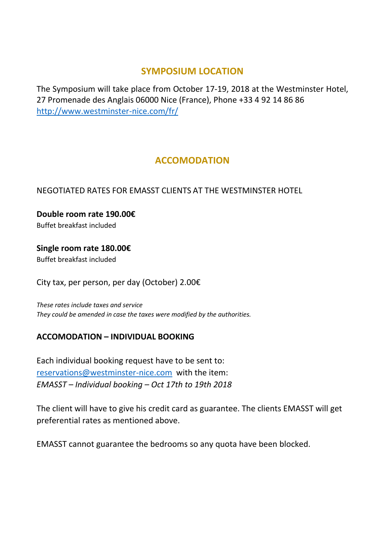#### **SYMPOSIUM LOCATION**

The Symposium will take place from October 17-19, 2018 at the Westminster Hotel, 27 Promenade des Anglais 06000 Nice (France), Phone +33 4 92 14 86 86 <http://www.westminster-nice.com/fr/>

## **ACCOMODATION**

#### NEGOTIATED RATES FOR EMASST CLIENTS AT THE WESTMINSTER HOTEL

**Double room rate 190.00€** Buffet breakfast included

**Single room rate 180.00€** Buffet breakfast included

City tax, per person, per day (October) 2.00€

*These rates include taxes and service They could be amended in case the taxes were modified by the authorities.*

#### **ACCOMODATION – INDIVIDUAL BOOKING**

Each individual booking request have to be sent to: [reservations@westminster-nice.com](mailto:reservations@westminster-nice.com) with the item: *EMASST – Individual booking – Oct 17th to 19th 2018*

The client will have to give his credit card as guarantee. The clients EMASST will get preferential rates as mentioned above.

EMASST cannot guarantee the bedrooms so any quota have been blocked.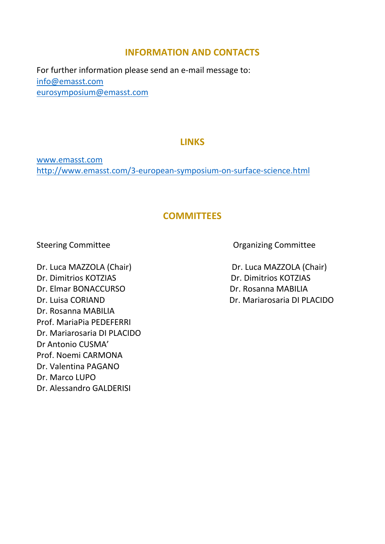### **INFORMATION AND CONTACTS**

For further information please send an e-mail message to: [info@emasst.com](mailto:info@emasst.com) [eurosymposium@emasst.com](mailto:eurosymposium@emasst.com) 

### **LINKS**

[www.emasst.com](http://www.emasst.com/) <http://www.emasst.com/3-european-symposium-on-surface-science.html>

## **COMMITTEES**

Dr. Dimitrios KOTZIAS Dr. Dimitrios KOTZIAS Dr. Elmar BONACCURSO Dr. Rosanna MABILIA Dr. Luisa CORIAND Dr. Mariarosaria DI PLACIDO Dr. Rosanna MABILIA Prof. MariaPia PEDEFERRI Dr. Mariarosaria DI PLACIDO Dr Antonio CUSMA' Prof. Noemi CARMONA Dr. Valentina PAGANO Dr. Marco LUPO Dr. Alessandro GALDERISI

Steering Committee **Committee Committee Committee** Committee Committee Committee

Dr. Luca MAZZOLA (Chair) Dr. Luca MAZZOLA (Chair)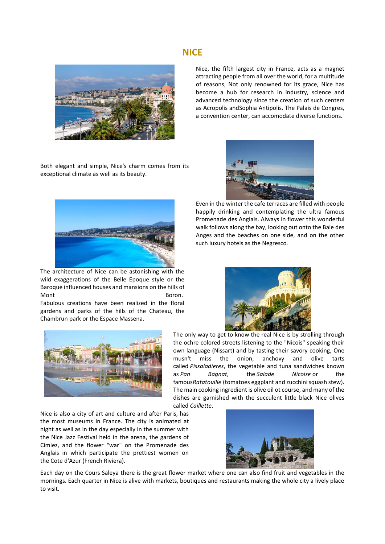#### **NICE**



Nice, the fifth largest city in France, acts as a magnet attracting people from all over the world, for a multitude of reasons, Not only renowned for its grace, Nice has become a hub for research in industry, science and advanced technology since the creation of such centers as Acropolis an[dSophia Antipolis.](http://www.provenceweb.fr/e/alpmarit/valbonne/valbonne.htm) The Palais de Congres, a convention center, can accomodate diverse functions.

Both elegant and simple, Nice's charm comes from its exceptional climate as well as its beauty.



The architecture of Nice can be astonishing with the wild exaggerations of the Belle Epoque style or the Baroque influenced houses and mansions on the hills of Mont **Boron.** 

Fabulous creations have been realized in the floral gardens and parks of the hills of the Chateau, the Chambrun park or the Espace Massena.



Even in the winter the cafe terraces are filled with people happily drinking and contemplating the ultra famous Promenade des Anglais. Always in flower this wonderful walk follows along the bay, looking out onto the Baie des Anges and the beaches on one side, and on the other such luxury hotels as the [Negresco](http://www.provenceweb.fr/e/alpmarit/nice/4-star-hotels.htm)*.*





The only way to get to know the real Nice is by strolling through the ochre colored streets listening to the "Nicois" speaking their own language (Nissart) and by tasting their savory cooking, One musn't miss the onion, anchovy and olive tarts called *Pissaladieres*, the vegetable and tuna sandwiches known as *Pan Bagnat*, the *Salade Nicoise* or the famous*Ratatouille* (tomatoes eggplant and zucchini squash stew). The main cooking ingredient is olive oil ot course, and many of the dishes are garnished with the succulent little black Nice olives called *Caillette*.

Nice is also a city of art and culture and after Paris, has the most museums in France. The city is animated at night as well as in the day especially in the summer with the Nice Jazz Festival held in the arena, the gardens of Cimiez, and the flower "war" on the Promenade des Anglais in which participate the prettiest women on the [Cote d'Azur](http://www.provenceweb.fr/e/region1.htm) [\(French Riviera\)](http://www.provenceweb.fr/e/region1.htm).



Each day on the Cours Saleya there is the great flower market where one can also find fruit and vegetables in the mornings. Each quarter in Nice is alive with markets, boutiques and restaurants making the whole city a lively place to visit.